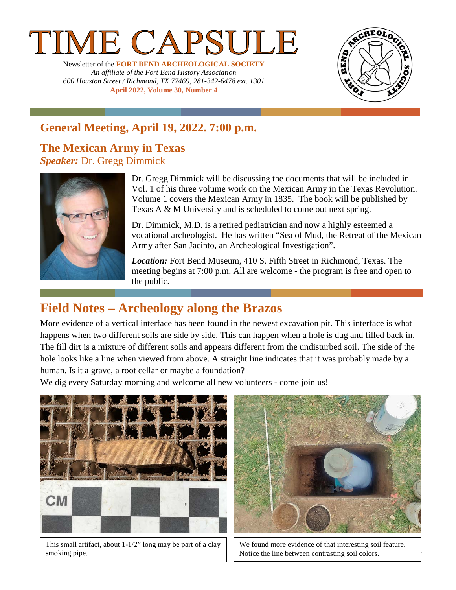# E CAPSUL

Newsletter of the **FORT BEND ARCHEOLOGICAL SOCIETY** *An affiliate of the Fort Bend History Association 600 Houston Street / Richmond, TX 77469, 281-342-6478 ext. 1301* **April 2022, Volume 30, Number 4**



# **General Meeting, April 19, 2022. 7:00 p.m.**

### **The Mexican Army in Texas** *Speaker:* Dr. Gregg Dimmick



Dr. Gregg Dimmick will be discussing the documents that will be included in Vol. 1 of his three volume work on the Mexican Army in the Texas Revolution. Volume 1 covers the Mexican Army in 1835. The book will be published by Texas A & M University and is scheduled to come out next spring.

Dr. Dimmick, M.D. is a retired pediatrician and now a highly esteemed a vocational archeologist. He has written "Sea of Mud, the Retreat of the Mexican Army after San Jacinto, an Archeological Investigation".

*Location:* Fort Bend Museum, 410 S. Fifth Street in Richmond, Texas. The meeting begins at 7:00 p.m. All are welcome - the program is free and open to the public.

# **Field Notes – Archeology along the Brazos**

More evidence of a vertical interface has been found in the newest excavation pit. This interface is what happens when two different soils are side by side. This can happen when a hole is dug and filled back in. The fill dirt is a mixture of different soils and appears different from the undisturbed soil. The side of the hole looks like a line when viewed from above. A straight line indicates that it was probably made by a human. Is it a grave, a root cellar or maybe a foundation?

We dig every Saturday morning and welcome all new volunteers - come join us!



This small artifact, about 1-1/2" long may be part of a clay smoking pipe.



We found more evidence of that interesting soil feature. Notice the line between contrasting soil colors.

1